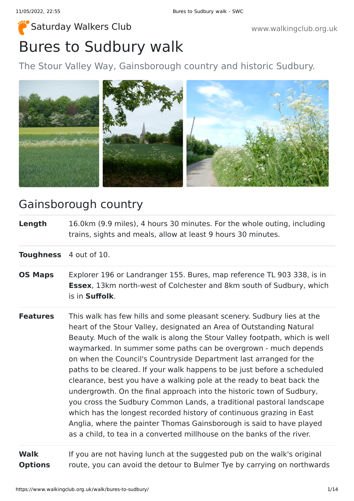# Bures to Sudbury walk [Saturday Walkers Club](https://www.walkingclub.org.uk/) **Saturday Walkers Club** www.walkingclub.org.uk

The Stour Valley Way, Gainsborough country and historic Sudbury.



## Gainsborough country

**Length** 16.0km (9.9 miles), 4 hours 30 minutes. For the whole outing, including trains, sights and meals, allow at least 9 hours 30 minutes.

**Toughness** 4 out of 10.

- **OS Maps** Explorer 196 or Landranger 155. Bures, map reference TL 903 338, is in **Essex**, 13km north-west of Colchester and 8km south of Sudbury, which is in **Suffolk**.
- **Features** This walk has few hills and some pleasant scenery. Sudbury lies at the heart of the Stour Valley, designated an Area of Outstanding Natural Beauty. Much of the walk is along the Stour Valley footpath, which is well waymarked. In summer some paths can be overgrown - much depends on when the Council's Countryside Department last arranged for the paths to be cleared. If your walk happens to be just before a scheduled clearance, best you have a walking pole at the ready to beat back the undergrowth. On the final approach into the historic town of Sudbury, you cross the Sudbury Common Lands, a traditional pastoral landscape which has the longest recorded history of continuous grazing in East Anglia, where the painter Thomas Gainsborough is said to have played as a child, to tea in a converted millhouse on the banks of the river.

**Walk Options** If you are not having lunch at the suggested pub on the walk's original route, you can avoid the detour to Bulmer Tye by carrying on northwards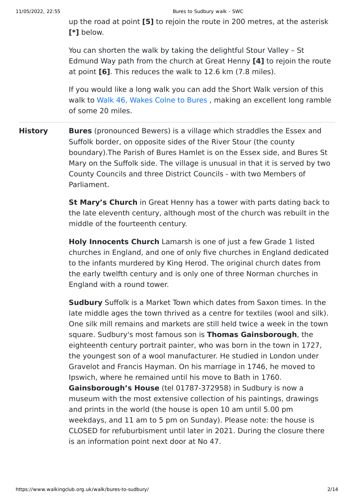up the road at point **[5]** to rejoin the route in 200 metres, at the asterisk **[\*]** below.

You can shorten the walk by taking the delightful Stour Valley – St Edmund Way path from the church at Great Henny **[4]** to rejoin the route at point **[6]**. This reduces the walk to 12.6 km (7.8 miles).

If you would like a long walk you can add the Short Walk version of this walk to [Walk 46, Wakes Colne to Bures](https://www.walkingclub.org.uk/book_1/walk_46/index.shtml) , making an excellent long ramble of some 20 miles.

**History Bures** (pronounced Bewers) is a village which straddles the Essex and Suffolk border, on opposite sides of the River Stour (the county boundary).The Parish of Bures Hamlet is on the Essex side, and Bures St Mary on the Suffolk side. The village is unusual in that it is served by two County Councils and three District Councils - with two Members of Parliament.

> **St Mary's Church** in Great Henny has a tower with parts dating back to the late eleventh century, although most of the church was rebuilt in the middle of the fourteenth century.

> **Holy Innocents Church** Lamarsh is one of just a few Grade 1 listed churches in England, and one of only five churches in England dedicated to the infants murdered by King Herod. The original church dates from the early twelfth century and is only one of three Norman churches in England with a round tower.

> **Sudbury** Suffolk is a Market Town which dates from Saxon times. In the late middle ages the town thrived as a centre for textiles (wool and silk). One silk mill remains and markets are still held twice a week in the town square. Sudbury's most famous son is **Thomas Gainsborough**, the eighteenth century portrait painter, who was born in the town in 1727, the youngest son of a wool manufacturer. He studied in London under Gravelot and Francis Hayman. On his marriage in 1746, he moved to Ipswich, where he remained until his move to Bath in 1760. **Gainsborough's House** (tel 01787-372958) in Sudbury is now a museum with the most extensive collection of his paintings, drawings and prints in the world (the house is open 10 am until 5.00 pm weekdays, and 11 am to 5 pm on Sunday). Please note: the house is CLOSED for refuburbisment until later in 2021. During the closure there is an information point next door at No 47.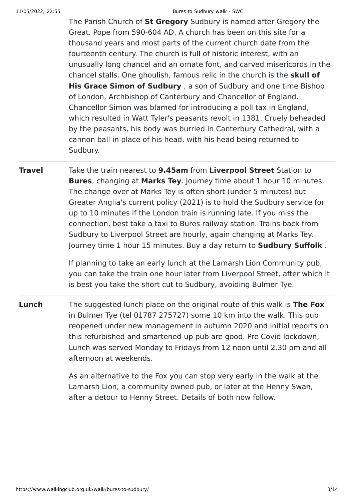The Parish Church of **St Gregory** Sudbury is named after Gregory the Great. Pope from 590-604 AD. A church has been on this site for a thousand years and most parts of the current church date from the fourteenth century. The church is full of historic interest, with an unusually long chancel and an ornate font, and carved misericords in the chancel stalls. One ghoulish, famous relic in the church is the **skull of His Grace Simon of Sudbury** , a son of Sudbury and one time Bishop of London, Archbishop of Canterbury and Chancellor of England. Chancellor Simon was blamed for introducing a poll tax in England, which resulted in Watt Tyler's peasants revolt in 1381. Cruely beheaded by the peasants, his body was burried in Canterbury Cathedral, with a cannon ball in place of his head, with his head being returned to Sudbury.

**Travel** Take the train nearest to **9.45am** from **Liverpool Street** Station to **Bures**, changing at **Marks Tey**. Journey time about 1 hour 10 minutes. The change over at Marks Tey is often short (under 5 minutes) but Greater Anglia's current policy (2021) is to hold the Sudbury service for up to 10 minutes if the London train is running late. If you miss the connection, best take a taxi to Bures railway station. Trains back from Sudbury to Liverpool Street are hourly, again changing at Marks Tey. Journey time 1 hour 15 minutes. Buy a day return to **Sudbury Suffolk** .

> If planning to take an early lunch at the Lamarsh Lion Community pub, you can take the train one hour later from Liverpool Street, after which it is best you take the short cut to Sudbury, avoiding Bulmer Tye.

**Lunch** The suggested lunch place on the original route of this walk is **The Fox** in Bulmer Tye (tel 01787 275727) some 10 km into the walk. This pub reopened under new management in autumn 2020 and initial reports on this refurbished and smartened-up pub are good. Pre Covid lockdown, Lunch was served Monday to Fridays from 12 noon until 2.30 pm and all afternoon at weekends.

> As an alternative to the Fox you can stop very early in the walk at the Lamarsh Lion, a community owned pub, or later at the Henny Swan, after a detour to Henny Street. Details of both now follow.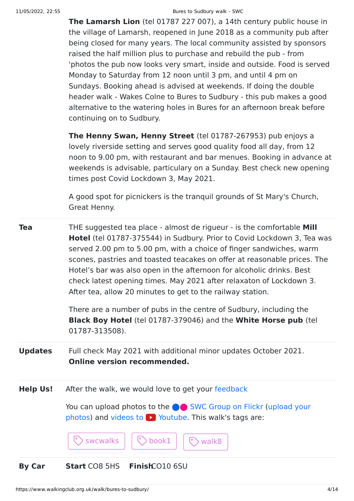**The Lamarsh Lion** (tel 01787 227 007), a 14th century public house in the village of Lamarsh, reopened in June 2018 as a community pub after being closed for many years. The local community assisted by sponsors raised the half million plus to purchase and rebuild the pub - from 'photos the pub now looks very smart, inside and outside. Food is served Monday to Saturday from 12 noon until 3 pm, and until 4 pm on Sundays. Booking ahead is advised at weekends. If doing the double header walk - Wakes Colne to Bures to Sudbury - this pub makes a good alternative to the watering holes in Bures for an afternoon break before continuing on to Sudbury.

**The Henny Swan, Henny Street** (tel 01787-267953) pub enjoys a lovely riverside setting and serves good quality food all day, from 12 noon to 9.00 pm, with restaurant and bar menues. Booking in advance at weekends is advisable, particulary on a Sunday. Best check new opening times post Covid Lockdown 3, May 2021.

A good spot for picnickers is the tranquil grounds of St Mary's Church, Great Henny.

**Tea** THE suggested tea place - almost de rigueur - is the comfortable **Mill Hotel** (tel 01787-375544) in Sudbury. Prior to Covid Lockdown 3, Tea was served 2.00 pm to 5.00 pm, with a choice of finger sandwiches, warm scones, pastries and toasted teacakes on offer at reasonable prices. The Hotel's bar was also open in the afternoon for alcoholic drinks. Best check latest opening times. May 2021 after relaxaton of Lockdown 3. After tea, allow 20 minutes to get to the railway station.

> There are a number of pubs in the centre of Sudbury, including the **Black Boy Hotel** (tel 01787-379046) and the **White Horse pub** (tel 01787-313508).

**Updates** Full check May 2021 with additional minor updates October 2021. **Online version recommended.**

**Help Us!** After the walk, we would love to get your [feedback](https://www.walkingclub.org.uk/walk/bures-to-sudbury/comments.html)

You can upload photos to the **integrat C** [SWC Group on Flickr](http://www.flickr.com/groups/swc) (upload your photos) and videos to  $\triangleright$  Youtube. This walk's tags are:



### **By Car Start** CO8 5HS **Finish**CO10 6SU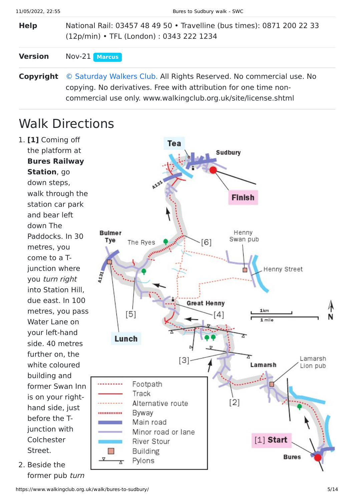**Help** National Rail: 03457 48 49 50 • Travelline (bus times): 0871 200 22 33 (12p/min) • TFL (London) : 0343 222 1234

### **Version** Nov-21 **[Marcus](https://www.walkingclub.org.uk/walks/marcus.html)**

**Copyright** [© Saturday Walkers Club.](https://www.walkingclub.org.uk/site/license.shtml) All Rights Reserved. No commercial use. No copying. No derivatives. Free with attribution for one time noncommercial use only. www.walkingclub.org.uk/site/license.shtml

## Walk Directions

1. **[1]** Coming off the platform at **Bures Railway Station**, go down steps, walk through the station car park and bear left down The Paddocks. In 30 metres, you come to a Tjunction where you turn right into Station Hill, due east. In 100 metres, you pass Water Lane on your left-hand side. 40 metres further on, the white coloured building and former Swan Inn is on your righthand side, just before the Tjunction with Colchester Street.

2. Beside the former pub turn

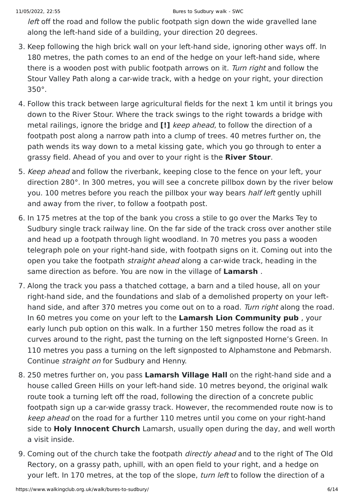left off the road and follow the public footpath sign down the wide gravelled lane along the left-hand side of a building, your direction 20 degrees.

- 3. Keep following the high brick wall on your left-hand side, ignoring other ways off. In 180 metres, the path comes to an end of the hedge on your left-hand side, where there is a wooden post with public footpath arrows on it. Turn right and follow the Stour Valley Path along a car-wide track, with a hedge on your right, your direction 350°.
- 4. Follow this track between large agricultural fields for the next 1 km until it brings you down to the River Stour. Where the track swings to the right towards a bridge with metal railings, ignore the bridge and **[!]** keep ahead, to follow the direction of a footpath post along a narrow path into a clump of trees. 40 metres further on, the path wends its way down to a metal kissing gate, which you go through to enter a grassy field. Ahead of you and over to your right is the **River Stour**.
- 5. Keep ahead and follow the riverbank, keeping close to the fence on your left, your direction 280°. In 300 metres, you will see a concrete pillbox down by the river below you. 100 metres before you reach the pillbox your way bears half left gently uphill and away from the river, to follow a footpath post.
- 6. In 175 metres at the top of the bank you cross a stile to go over the Marks Tey to Sudbury single track railway line. On the far side of the track cross over another stile and head up a footpath through light woodland. In 70 metres you pass a wooden telegraph pole on your right-hand side, with footpath signs on it. Coming out into the open you take the footpath straight ahead along a car-wide track, heading in the same direction as before. You are now in the village of **Lamarsh** .
- 7. Along the track you pass a thatched cottage, a barn and a tiled house, all on your right-hand side, and the foundations and slab of a demolished property on your lefthand side, and after 370 metres you come out on to a road. Turn right along the road. In 60 metres you come on your left to the **Lamarsh Lion Community pub** , your early lunch pub option on this walk. In a further 150 metres follow the road as it curves around to the right, past the turning on the left signposted Horne's Green. In 110 metres you pass a turning on the left signposted to Alphamstone and Pebmarsh. Continue straight on for Sudbury and Henny.
- 8. 250 metres further on, you pass **Lamarsh Village Hall** on the right-hand side and a house called Green Hills on your left-hand side. 10 metres beyond, the original walk route took a turning left off the road, following the direction of a concrete public footpath sign up a car-wide grassy track. However, the recommended route now is to keep ahead on the road for a further 110 metres until you come on your right-hand side to **Holy Innocent Church** Lamarsh, usually open during the day, and well worth a visit inside.
- 9. Coming out of the church take the footpath *directly ahead* and to the right of The Old Rectory, on a grassy path, uphill, with an open field to your right, and a hedge on your left. In 170 metres, at the top of the slope, turn left to follow the direction of a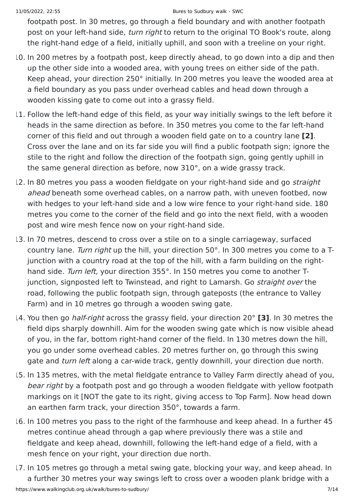footpath post. In 30 metres, go through a field boundary and with another footpath post on your left-hand side, *turn right* to return to the original TO Book's route, along the right-hand edge of a field, initially uphill, and soon with a treeline on your right.

- 10. In 200 metres by a footpath post, keep directly ahead, to go down into a dip and then up the other side into a wooded area, with young trees on either side of the path. Keep ahead, your direction 250° initially. In 200 metres you leave the wooded area at a field boundary as you pass under overhead cables and head down through a wooden kissing gate to come out into a grassy field.
- 11. Follow the left-hand edge of this field, as your way initially swings to the left before it heads in the same direction as before. In 350 metres you come to the far left-hand corner of this field and out through a wooden field gate on to a country lane **[2]**. Cross over the lane and on its far side you will find a public footpath sign; ignore the stile to the right and follow the direction of the footpath sign, going gently uphill in the same general direction as before, now 310°, on a wide grassy track.
- 12. In 80 metres you pass a wooden fieldgate on your right-hand side and go *straight* ahead beneath some overhead cables, on a narrow path, with uneven footbed, now with hedges to your left-hand side and a low wire fence to your right-hand side. 180 metres you come to the corner of the field and go into the next field, with a wooden post and wire mesh fence now on your right-hand side.
- 13. In 70 metres, descend to cross over a stile on to a single carriageway, surfaced country lane. Turn right up the hill, your direction 50°. In 300 metres you come to a Tjunction with a country road at the top of the hill, with a farm building on the righthand side. Turn left, your direction 355°. In 150 metres you come to another Tjunction, signposted left to Twinstead, and right to Lamarsh. Go *straight over* the road, following the public footpath sign, through gateposts (the entrance to Valley Farm) and in 10 metres go through a wooden swing gate.
- 14. You then go half-right across the grassy field, your direction 20° **[3]**. In 30 metres the field dips sharply downhill. Aim for the wooden swing gate which is now visible ahead of you, in the far, bottom right-hand corner of the field. In 130 metres down the hill, you go under some overhead cables. 20 metres further on, go through this swing gate and *turn left* along a car-wide track, gently downhill, your direction due north.
- 15. In 135 metres, with the metal fieldgate entrance to Valley Farm directly ahead of you, bear right by a footpath post and go through a wooden fieldgate with yellow footpath markings on it [NOT the gate to its right, giving access to Top Farm]. Now head down an earthen farm track, your direction 350°, towards a farm.
- 16. In 100 metres you pass to the right of the farmhouse and keep ahead. In a further 45 metres continue ahead through a gap where previously there was a stile and fieldgate and keep ahead, downhill, following the left-hand edge of a field, with a mesh fence on your right, your direction due north.
- https://www.walkingclub.org.uk/walk/bures-to-sudbury/ 7/14 17. In 105 metres go through a metal swing gate, blocking your way, and keep ahead. In a further 30 metres your way swings left to cross over a wooden plank bridge with a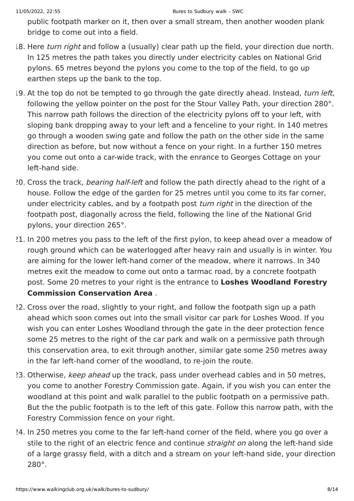public footpath marker on it, then over a small stream, then another wooden plank bridge to come out into a field.

- 18. Here turn right and follow a (usually) clear path up the field, your direction due north. In 125 metres the path takes you directly under electricity cables on National Grid pylons. 65 metres beyond the pylons you come to the top of the field, to go up earthen steps up the bank to the top.
- 19. At the top do not be tempted to go through the gate directly ahead. Instead, turn left, following the yellow pointer on the post for the Stour Valley Path, your direction 280°. This narrow path follows the direction of the electricity pylons off to your left, with sloping bank dropping away to your left and a fenceline to your right. In 140 metres go through a wooden swing gate and follow the path on the other side in the same direction as before, but now without a fence on your right. In a further 150 metres you come out onto a car-wide track, with the enrance to Georges Cottage on your left-hand side.
- 20. Cross the track, bearing half-left and follow the path directly ahead to the right of a house. Follow the edge of the garden for 25 metres until you come to its far corner, under electricity cables, and by a footpath post turn right in the direction of the footpath post, diagonally across the field, following the line of the National Grid pylons, your direction 265°.
- 21. In 200 metres you pass to the left of the first pylon, to keep ahead over a meadow of rough ground which can be waterlogged after heavy rain and usually is in winter. You are aiming for the lower left-hand corner of the meadow, where it narrows. In 340 metres exit the meadow to come out onto a tarmac road, by a concrete footpath post. Some 20 metres to your right is the entrance to **Loshes Woodland Forestry Commission Conservation Area** .
- 22. Cross over the road, slightly to your right, and follow the footpath sign up a path ahead which soon comes out into the small visitor car park for Loshes Wood. If you wish you can enter Loshes Woodland through the gate in the deer protection fence some 25 metres to the right of the car park and walk on a permissive path through this conservation area, to exit through another, similar gate some 250 metres away in the far left-hand corner of the woodland, to re-join the route.
- 23. Otherwise, keep ahead up the track, pass under overhead cables and in 50 metres, you come to another Forestry Commission gate. Again, if you wish you can enter the woodland at this point and walk parallel to the public footpath on a permissive path. But the the public footpath is to the left of this gate. Follow this narrow path, with the Forestry Commission fence on your right.
- 24. In 250 metres you come to the far left-hand corner of the field, where you go over a stile to the right of an electric fence and continue *straight on* along the left-hand side of a large grassy field, with a ditch and a stream on your left-hand side, your direction 280°.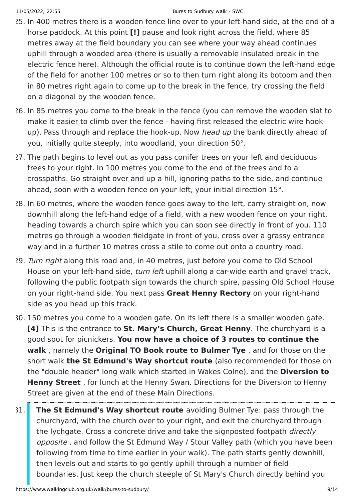- 25. In 400 metres there is a wooden fence line over to your left-hand side, at the end of a horse paddock. At this point **[!]** pause and look right across the field, where 85 metres away at the field boundary you can see where your way ahead continues uphill through a wooded area (there is usually a removable insulated break in the electric fence here). Although the official route is to continue down the left-hand edge of the field for another 100 metres or so to then turn right along its botoom and then in 80 metres right again to come up to the break in the fence, try crossing the field on a diagonal by the wooden fence.
- 26. In 85 metres you come to the break in the fence (you can remove the wooden slat to make it easier to climb over the fence - having first released the electric wire hookup). Pass through and replace the hook-up. Now head up the bank directly ahead of you, initially quite steeply, into woodland, your direction 50°.
- 27. The path begins to level out as you pass conifer trees on your left and deciduous trees to your right. In 100 metres you come to the end of the trees and to a crosspaths. Go straight over and up a hill, ignoring paths to the side, and continue ahead, soon with a wooden fence on your left, your initial direction 15°.
- 28. In 60 metres, where the wooden fence goes away to the left, carry straight on, now downhill along the left-hand edge of a field, with a new wooden fence on your right, heading towards a church spire which you can soon see directly in front of you. 110 metres go through a wooden fieldgate in front of you, cross over a grassy entrance way and in a further 10 metres cross a stile to come out onto a country road.
- 29. Turn right along this road and, in 40 metres, just before you come to Old School House on your left-hand side, *turn left* uphill along a car-wide earth and gravel track, following the public footpath sign towards the church spire, passing Old School House on your right-hand side. You next pass **Great Henny Rectory** on your right-hand side as you head up this track.
- 30. 150 metres you come to a wooden gate. On its left there is a smaller wooden gate. **[4]** This is the entrance to **St. Mary's Church, Great Henny**. The churchyard is a good spot for picnickers. **You now have a choice of 3 routes to continue the walk** , namely the **Original TO Book route to Bulmer Tye** , and for those on the short walk **the St Edmund's Way shortcut route** (also recommended for those on the "double header" long walk which started in Wakes Colne), and the **Diversion to Henny Street** , for lunch at the Henny Swan. Directions for the Diversion to Henny Street are given at the end of these Main Directions.
- 31. **The St Edmund's Way shortcut route** avoiding Bulmer Tye: pass through the churchyard, with the church over to your right, and exit the churchyard through the lychgate. Cross a concrete drive and take the signposted footpath *directly* opposite , and follow the St Edmund Way / Stour Valley path (which you have been following from time to time earlier in your walk). The path starts gently downhill, then levels out and starts to go gently uphill through a number of field boundaries. Just keep the church steeple of St Mary's Church directly behind you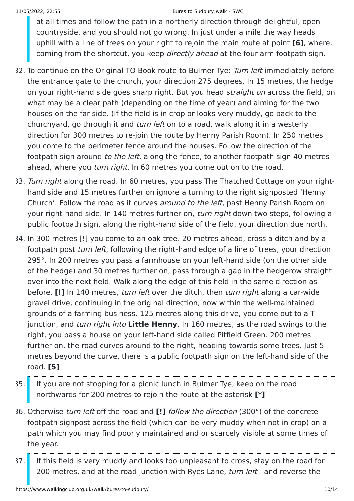at all times and follow the path in a northerly direction through delightful, open countryside, and you should not go wrong. In just under a mile the way heads uphill with a line of trees on your right to rejoin the main route at point **[6]**, where, coming from the shortcut, you keep *directly ahead* at the four-arm footpath sign.

- 32. To continue on the Original TO Book route to Bulmer Tye: Turn left immediately before the entrance gate to the church, your direction 275 degrees. In 15 metres, the hedge on your right-hand side goes sharp right. But you head straight on across the field, on what may be a clear path (depending on the time of year) and aiming for the two houses on the far side. (If the field is in crop or looks very muddy, go back to the churchyard, go through it and *turn left* on to a road, walk along it in a westerly direction for 300 metres to re-join the route by Henny Parish Room). In 250 metres you come to the perimeter fence around the houses. Follow the direction of the footpath sign around to the left, along the fence, to another footpath sign 40 metres ahead, where you turn right. In 60 metres you come out on to the road.
- 33. Turn right along the road. In 60 metres, you pass The Thatched Cottage on your righthand side and 15 metres further on ignore a turning to the right signposted 'Henny Church'. Follow the road as it curves around to the left, past Henny Parish Room on your right-hand side. In 140 metres further on, turn right down two steps, following a public footpath sign, along the right-hand side of the field, your direction due north.
- 34. In 300 metres [!] you come to an oak tree. 20 metres ahead, cross a ditch and by a footpath post *turn left*, following the right-hand edge of a line of trees, your direction 295°. In 200 metres you pass a farmhouse on your left-hand side (on the other side of the hedge) and 30 metres further on, pass through a gap in the hedgerow straight over into the next field. Walk along the edge of this field in the same direction as before. **[!]** In 140 metres, turn left over the ditch, then turn right along a car-wide gravel drive, continuing in the original direction, now within the well-maintained grounds of a farming business. 125 metres along this drive, you come out to a Tjunction, and turn right into **Little Henny**. In 160 metres, as the road swings to the right, you pass a house on your left-hand side called Pitfield Green. 200 metres further on, the road curves around to the right, heading towards some trees. Just 5 metres beyond the curve, there is a public footpath sign on the left-hand side of the road. **[5]**
- 35. If you are not stopping for a picnic lunch in Bulmer Tye, keep on the road northwards for 200 metres to rejoin the route at the asterisk **[\*]**
- 36. Otherwise turn left off the road and **[!]** follow the direction (300°) of the concrete footpath signpost across the field (which can be very muddy when not in crop) on a path which you may find poorly maintained and or scarcely visible at some times of the year.
- 37. If this field is very muddy and looks too unpleasant to cross, stay on the road for 200 metres, and at the road junction with Ryes Lane, turn left - and reverse the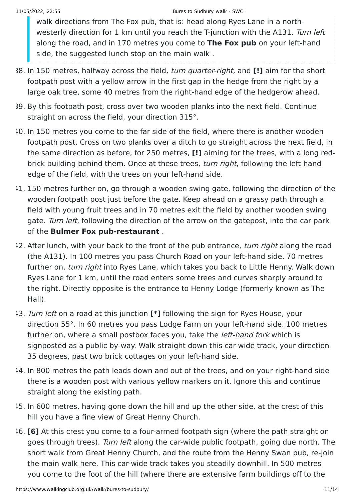walk directions from The Fox pub, that is: head along Ryes Lane in a northwesterly direction for 1 km until you reach the T-junction with the A131. Turn left along the road, and in 170 metres you come to **The Fox pub** on your left-hand side, the suggested lunch stop on the main walk.

- 38. In 150 metres, halfway across the field, turn quarter-right, and **[!]** aim for the short footpath post with a yellow arrow in the first gap in the hedge from the right by a large oak tree, some 40 metres from the right-hand edge of the hedgerow ahead.
- 39. By this footpath post, cross over two wooden planks into the next field. Continue straight on across the field, your direction 315°.
- 40. In 150 metres you come to the far side of the field, where there is another wooden footpath post. Cross on two planks over a ditch to go straight across the next field, in the same direction as before, for 250 metres, **[!]** aiming for the trees, with a long redbrick building behind them. Once at these trees, turn right, following the left-hand edge of the field, with the trees on your left-hand side.
- 41. 150 metres further on, go through a wooden swing gate, following the direction of the wooden footpath post just before the gate. Keep ahead on a grassy path through a field with young fruit trees and in 70 metres exit the field by another wooden swing gate. Turn left, following the direction of the arrow on the gatepost, into the car park of the **Bulmer Fox pub-restaurant** .
- 42. After lunch, with your back to the front of the pub entrance, turn right along the road (the A131). In 100 metres you pass Church Road on your left-hand side. 70 metres further on, turn right into Ryes Lane, which takes you back to Little Henny. Walk down Ryes Lane for 1 km, until the road enters some trees and curves sharply around to the right. Directly opposite is the entrance to Henny Lodge (formerly known as The Hall).
- 43. Turn left on a road at this junction **[\*]** following the sign for Ryes House, your direction 55°. In 60 metres you pass Lodge Farm on your left-hand side. 100 metres further on, where a small postbox faces you, take the *left-hand fork* which is signposted as a public by-way. Walk straight down this car-wide track, your direction 35 degrees, past two brick cottages on your left-hand side.
- 44. In 800 metres the path leads down and out of the trees, and on your right-hand side there is a wooden post with various yellow markers on it. Ignore this and continue straight along the existing path.
- 45. In 600 metres, having gone down the hill and up the other side, at the crest of this hill you have a fine view of Great Henny Church.
- 46. **[6]** At this crest you come to a four-armed footpath sign (where the path straight on goes through trees). Turn left along the car-wide public footpath, going due north. The short walk from Great Henny Church, and the route from the Henny Swan pub, re-join the main walk here. This car-wide track takes you steadily downhill. In 500 metres you come to the foot of the hill (where there are extensive farm buildings off to the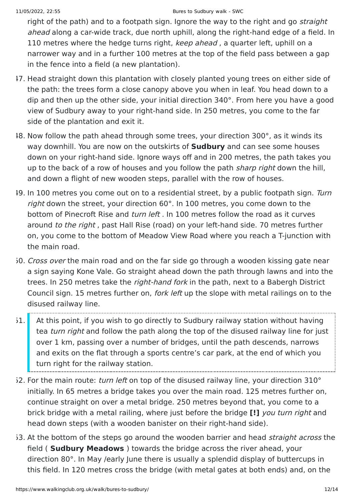right of the path) and to a footpath sign. Ignore the way to the right and go *straight* ahead along a car-wide track, due north uphill, along the right-hand edge of a field. In 110 metres where the hedge turns right, keep ahead, a quarter left, uphill on a narrower way and in a further 100 metres at the top of the field pass between a gap in the fence into a field (a new plantation).

- 47. Head straight down this plantation with closely planted young trees on either side of the path: the trees form a close canopy above you when in leaf. You head down to a dip and then up the other side, your initial direction 340°. From here you have a good view of Sudbury away to your right-hand side. In 250 metres, you come to the far side of the plantation and exit it.
- 48. Now follow the path ahead through some trees, your direction 300°, as it winds its way downhill. You are now on the outskirts of **Sudbury** and can see some houses down on your right-hand side. Ignore ways off and in 200 metres, the path takes you up to the back of a row of houses and you follow the path sharp right down the hill. and down a flight of new wooden steps, parallel with the row of houses.
- 19. In 100 metres you come out on to a residential street, by a public footpath sign. Turn right down the street, your direction 60°. In 100 metres, you come down to the bottom of Pinecroft Rise and turn left . In 100 metres follow the road as it curves around to the right , past Hall Rise (road) on your left-hand side. 70 metres further on, you come to the bottom of Meadow View Road where you reach a T-junction with the main road.
- 50. Cross over the main road and on the far side go through a wooden kissing gate near a sign saying Kone Vale. Go straight ahead down the path through lawns and into the trees. In 250 metres take the *right-hand fork* in the path, next to a Babergh District Council sign. 15 metres further on, fork left up the slope with metal railings on to the disused railway line.
- 51. At this point, if you wish to go directly to Sudbury railway station without having tea turn right and follow the path along the top of the disused railway line for just over 1 km, passing over a number of bridges, until the path descends, narrows and exits on the flat through a sports centre's car park, at the end of which you turn right for the railway station.
- 52. For the main route: turn left on top of the disused railway line, your direction  $310^{\circ}$ initially. In 65 metres a bridge takes you over the main road. 125 metres further on, continue straight on over a metal bridge. 250 metres beyond that, you come to a brick bridge with a metal railing, where just before the bridge **[!]** you turn right and head down steps (with a wooden banister on their right-hand side).
- 53. At the bottom of the steps go around the wooden barrier and head *straight across* the field ( **Sudbury Meadows** ) towards the bridge across the river ahead, your direction 80°. In May /early June there is usually a splendid display of buttercups in this field. In 120 metres cross the bridge (with metal gates at both ends) and, on the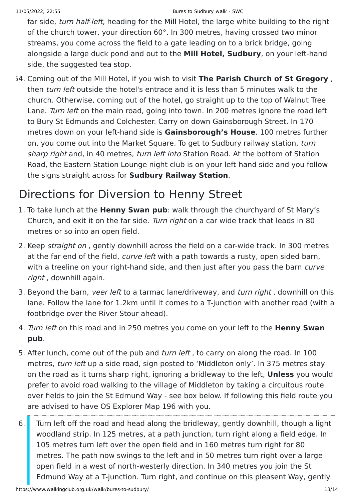far side, *turn half-left*, heading for the Mill Hotel, the large white building to the right of the church tower, your direction 60°. In 300 metres, having crossed two minor streams, you come across the field to a gate leading on to a brick bridge, going alongside a large duck pond and out to the **Mill Hotel, Sudbury**, on your left-hand side, the suggested tea stop.

54. Coming out of the Mill Hotel, if you wish to visit **The Parish Church of St Gregory** , then *turn left* outside the hotel's entrace and it is less than 5 minutes walk to the church. Otherwise, coming out of the hotel, go straight up to the top of Walnut Tree Lane. Turn left on the main road, going into town. In 200 metres ignore the road left to Bury St Edmunds and Colchester. Carry on down Gainsborough Street. In 170 metres down on your left-hand side is **Gainsborough's House**. 100 metres further on, you come out into the Market Square. To get to Sudbury railway station, turn sharp right and, in 40 metres, turn left into Station Road. At the bottom of Station Road, the Eastern Station Lounge night club is on your left-hand side and you follow the signs straight across for **Sudbury Railway Station**.

# Directions for Diversion to Henny Street

- 1. To take lunch at the **Henny Swan pub**: walk through the churchyard of St Mary's Church, and exit it on the far side. Turn right on a car wide track that leads in 80 metres or so into an open field.
- 2. Keep *straight on*, gently downhill across the field on a car-wide track. In 300 metres at the far end of the field, curve left with a path towards a rusty, open sided barn, with a treeline on your right-hand side, and then just after you pass the barn curve right, downhill again.
- 3. Beyond the barn, veer left to a tarmac lane/driveway, and turn right, downhill on this lane. Follow the lane for 1.2km until it comes to a T-junction with another road (with a footbridge over the River Stour ahead).
- 4. Turn left on this road and in 250 metres you come on your left to the **Henny Swan pub**.
- 5. After lunch, come out of the pub and *turn left*, to carry on along the road. In 100 metres, turn left up a side road, sign posted to 'Middleton only'. In 375 metres stay on the road as it turns sharp right, ignoring a bridleway to the left, **Unless** you would prefer to avoid road walking to the village of Middleton by taking a circuitous route over fields to join the St Edmund Way - see box below. If following this field route you are advised to have OS Explorer Map 196 with you.
- 6. Turn left off the road and head along the bridleway, gently downhill, though a light woodland strip. In 125 metres, at a path junction, turn right along a field edge. In 105 metres turn left over the open field and in 160 metres turn right for 80 metres. The path now swings to the left and in 50 metres turn right over a large open field in a west of north-westerly direction. In 340 metres you join the St Edmund Way at a T-junction. Turn right, and continue on this pleasent Way, gently